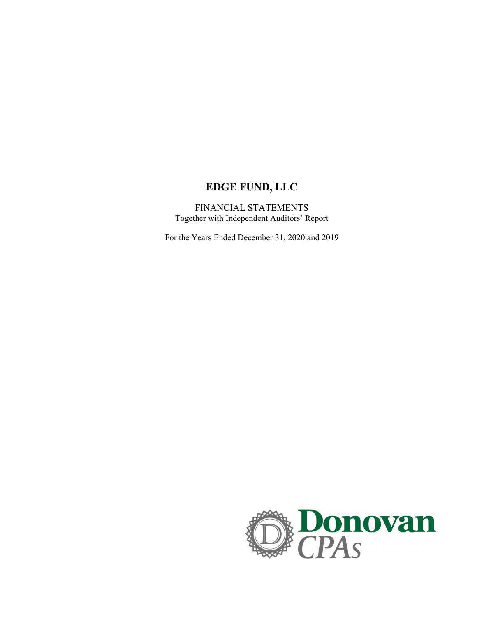# **EDGE FUND, LLC**

FINANCIAL STATEMENTS Together with Independent Auditors' Report

For the Years Ended December 31, 2020 and 2019

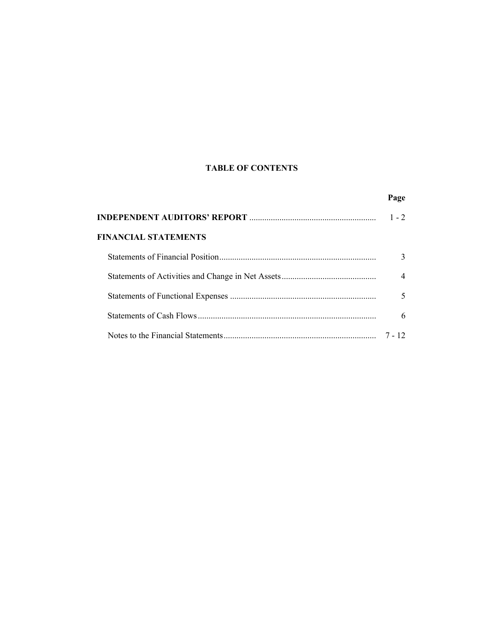# **TABLE OF CONTENTS**

|                             | Page           |
|-----------------------------|----------------|
|                             | $1 - 2$        |
| <b>FINANCIAL STATEMENTS</b> |                |
|                             | 3              |
|                             | $\overline{4}$ |
|                             | 5              |
|                             | 6              |
|                             | 7 - 12         |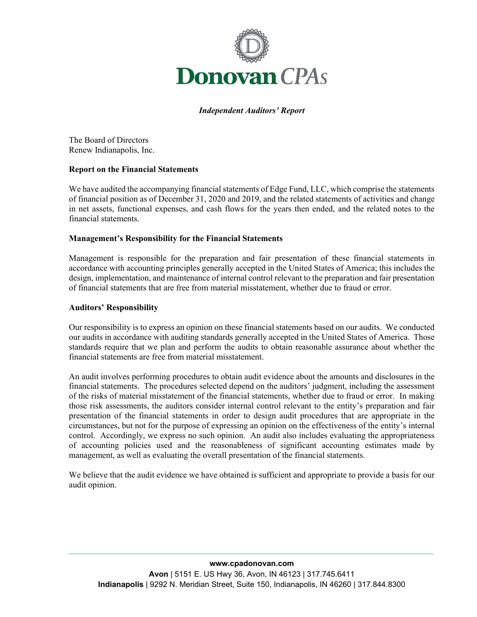

*Independent Auditors' Report*

The Board of Directors Renew Indianapolis, Inc.

### **Report on the Financial Statements**

We have audited the accompanying financial statements of Edge Fund, LLC, which comprise the statements of financial position as of December 31, 2020 and 2019, and the related statements of activities and change in net assets, functional expenses, and cash flows for the years then ended, and the related notes to the financial statements.

### **Management's Responsibility for the Financial Statements**

Management is responsible for the preparation and fair presentation of these financial statements in accordance with accounting principles generally accepted in the United States of America; this includes the design, implementation, and maintenance of internal control relevant to the preparation and fair presentation of financial statements that are free from material misstatement, whether due to fraud or error.

#### **Auditors' Responsibility**

Our responsibility is to express an opinion on these financial statements based on our audits. We conducted our audits in accordance with auditing standards generally accepted in the United States of America. Those standards require that we plan and perform the audits to obtain reasonable assurance about whether the financial statements are free from material misstatement.

An audit involves performing procedures to obtain audit evidence about the amounts and disclosures in the financial statements. The procedures selected depend on the auditors' judgment, including the assessment of the risks of material misstatement of the financial statements, whether due to fraud or error. In making those risk assessments, the auditors consider internal control relevant to the entity's preparation and fair presentation of the financial statements in order to design audit procedures that are appropriate in the circumstances, but not for the purpose of expressing an opinion on the effectiveness of the entity's internal control. Accordingly, we express no such opinion. An audit also includes evaluating the appropriateness of accounting policies used and the reasonableness of significant accounting estimates made by management, as well as evaluating the overall presentation of the financial statements.

We believe that the audit evidence we have obtained is sufficient and appropriate to provide a basis for our audit opinion.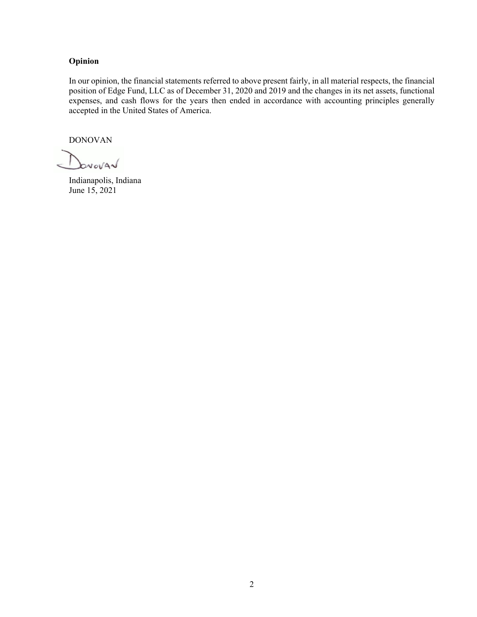### **Opinion**

In our opinion, the financial statements referred to above present fairly, in all material respects, the financial position of Edge Fund, LLC as of December 31, 2020 and 2019 and the changes in its net assets, functional expenses, and cash flows for the years then ended in accordance with accounting principles generally accepted in the United States of America.

DONOVAN

I brovar

Indianapolis, Indiana June 15, 2021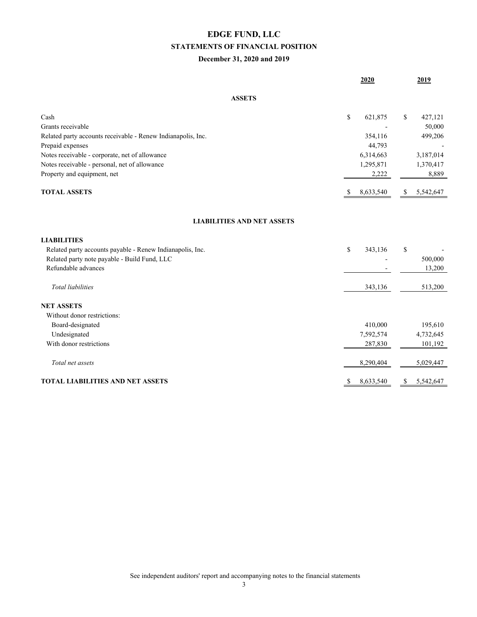# **EDGE FUND, LLC STATEMENTS OF FINANCIAL POSITION**

### **December 31, 2020 and 2019**

|                                                              | 2020            | 2019             |
|--------------------------------------------------------------|-----------------|------------------|
| <b>ASSETS</b>                                                |                 |                  |
| Cash                                                         | \$<br>621,875   | 427,121<br>\$    |
| Grants receivable                                            |                 | 50,000           |
| Related party accounts receivable - Renew Indianapolis, Inc. | 354,116         | 499,206          |
| Prepaid expenses                                             | 44,793          |                  |
| Notes receivable - corporate, net of allowance               | 6,314,663       | 3,187,014        |
| Notes receivable - personal, net of allowance                | 1,295,871       | 1,370,417        |
| Property and equipment, net                                  | 2,222           | 8,889            |
| <b>TOTAL ASSETS</b>                                          | 8,633,540<br>\$ | 5,542,647<br>\$  |
| <b>LIABILITIES AND NET ASSETS</b>                            |                 |                  |
| <b>LIABILITIES</b>                                           |                 |                  |
| Related party accounts payable - Renew Indianapolis, Inc.    | \$<br>343,136   | \$               |
| Related party note payable - Build Fund, LLC                 |                 | 500,000          |
| Refundable advances                                          |                 | 13,200           |
| <b>Total</b> liabilities                                     | 343,136         | 513,200          |
| <b>NET ASSETS</b>                                            |                 |                  |
| Without donor restrictions:                                  |                 |                  |
| Board-designated                                             | 410,000         | 195,610          |
| Undesignated                                                 | 7,592,574       | 4,732,645        |
| With donor restrictions                                      | 287,830         | 101,192          |
| Total net assets                                             | 8,290,404       | 5,029,447        |
| TOTAL LIABILITIES AND NET ASSETS                             | 8,633,540<br>S. | 5,542,647<br>\$. |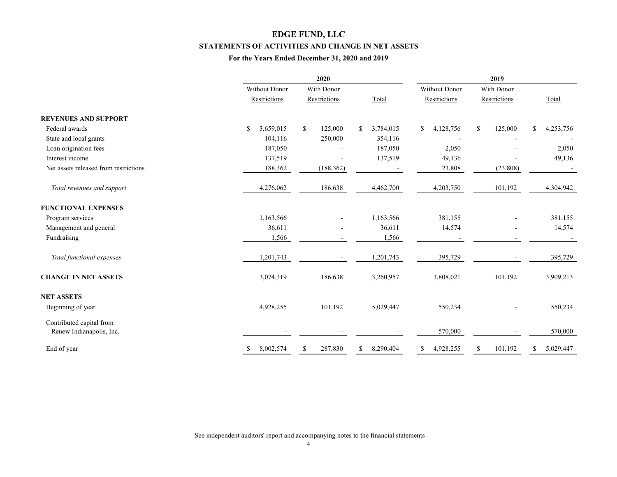# **EDGE FUND, LLC STATEMENTS OF ACTIVITIES AND CHANGE IN NET ASSETS**

### **For the Years Ended December 31, 2020 and 2019**

|                                                      |                 | 2020                     | 2019                       |                 |               |                          |  |
|------------------------------------------------------|-----------------|--------------------------|----------------------------|-----------------|---------------|--------------------------|--|
|                                                      | Without Donor   | With Donor               |                            | Without Donor   | With Donor    |                          |  |
|                                                      | Restrictions    | Restrictions             | Total                      | Restrictions    | Restrictions  | Total                    |  |
| <b>REVENUES AND SUPPORT</b>                          |                 |                          |                            |                 |               |                          |  |
| Federal awards                                       | 3,659,015<br>\$ | \$<br>125,000            | 3,784,015<br><sup>\$</sup> | \$<br>4,128,756 | 125,000<br>S  | 4,253,756<br>\$          |  |
| State and local grants                               | 104,116         | 250,000                  | 354,116                    |                 |               |                          |  |
| Loan origination fees                                | 187,050         |                          | 187,050                    | 2,050           |               | 2,050                    |  |
| Interest income                                      | 137,519         |                          | 137,519                    | 49,136          |               | 49,136                   |  |
| Net assets released from restrictions                | 188,362         | (188, 362)               |                            | 23,808          | (23, 808)     | $\overline{\phantom{a}}$ |  |
| Total revenues and support                           | 4,276,062       | 186,638                  | 4,462,700                  | 4,203,750       | 101,192       | 4,304,942                |  |
| <b>FUNCTIONAL EXPENSES</b>                           |                 |                          |                            |                 |               |                          |  |
| Program services                                     | 1,163,566       |                          | 1,163,566                  | 381,155         |               | 381,155                  |  |
| Management and general                               | 36,611          |                          | 36,611                     | 14,574          |               | 14,574                   |  |
| Fundraising                                          | 1,566           | $\overline{\phantom{a}}$ | 1,566                      |                 |               |                          |  |
| Total functional expenses                            | 1,201,743       |                          | 1,201,743                  | 395,729         |               | 395,729                  |  |
| <b>CHANGE IN NET ASSETS</b>                          | 3,074,319       | 186,638                  | 3,260,957                  | 3,808,021       | 101,192       | 3,909,213                |  |
| <b>NET ASSETS</b>                                    |                 |                          |                            |                 |               |                          |  |
| Beginning of year                                    | 4,928,255       | 101,192                  | 5,029,447                  | 550,234         |               | 550,234                  |  |
| Contributed capital from<br>Renew Indianapolis, Inc. |                 |                          |                            | 570,000         |               | 570,000                  |  |
| End of year                                          | 8,002,574<br>-S | 287,830                  | 8,290,404<br><sup>S</sup>  | 4,928,255<br>\$ | 101,192<br>-S | 5,029,447<br>S           |  |

See independent auditors' report and accompanying notes to the financial statements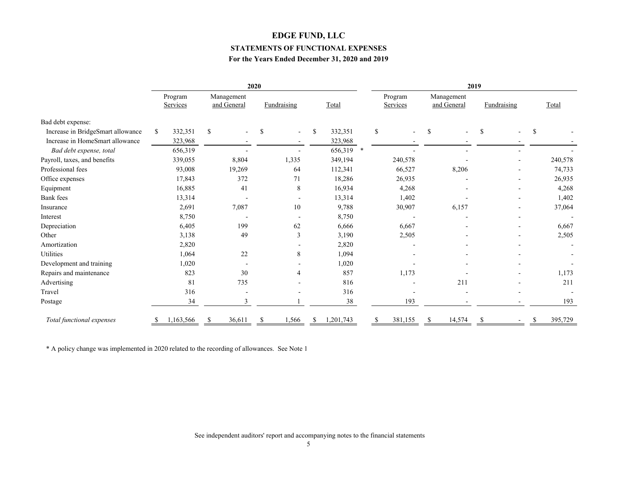### **EDGE FUND, LLC**

#### **STATEMENTS OF FUNCTIONAL EXPENSES**

### **For the Years Ended December 31, 2020 and 2019**

|                                   | 2020 |                     |    |                           |   | 2019               |           |  |              |                     |    |                           |              |                          |               |         |
|-----------------------------------|------|---------------------|----|---------------------------|---|--------------------|-----------|--|--------------|---------------------|----|---------------------------|--------------|--------------------------|---------------|---------|
|                                   |      | Program<br>Services |    | Management<br>and General |   | <b>Fundraising</b> | Total     |  |              | Program<br>Services |    | Management<br>and General |              | Fundraising              |               | Total   |
| Bad debt expense:                 |      |                     |    |                           |   |                    |           |  |              |                     |    |                           |              |                          |               |         |
| Increase in BridgeSmart allowance | \$   | 332,351             | \$ |                           | S |                    | 332,351   |  | $\mathbb{S}$ |                     | \$ |                           | <sup>S</sup> | $\overline{a}$           | <sup>\$</sup> |         |
| Increase in HomeSmart allowance   |      | 323,968             |    |                           |   |                    | 323,968   |  |              |                     |    |                           |              |                          |               |         |
| Bad debt expense, total           |      | 656,319             |    |                           |   |                    | 656,319 * |  |              |                     |    |                           |              |                          |               |         |
| Payroll, taxes, and benefits      |      | 339,055             |    | 8,804                     |   | 1,335              | 349,194   |  |              | 240,578             |    |                           |              | $\overline{\phantom{a}}$ |               | 240,578 |
| Professional fees                 |      | 93,008              |    | 19,269                    |   | 64                 | 112,341   |  |              | 66,527              |    | 8,206                     |              | $\overline{\phantom{a}}$ |               | 74,733  |
| Office expenses                   |      | 17,843              |    | 372                       |   | 71                 | 18,286    |  |              | 26,935              |    |                           |              | -                        |               | 26,935  |
| Equipment                         |      | 16,885              |    | 41                        |   | 8                  | 16,934    |  |              | 4,268               |    |                           |              |                          |               | 4,268   |
| <b>Bank</b> fees                  |      | 13,314              |    |                           |   |                    | 13,314    |  |              | 1,402               |    |                           |              |                          |               | 1,402   |
| Insurance                         |      | 2,691               |    | 7,087                     |   | 10                 | 9,788     |  |              | 30,907              |    | 6,157                     |              | -                        |               | 37,064  |
| Interest                          |      | 8,750               |    |                           |   |                    | 8,750     |  |              |                     |    |                           |              |                          |               |         |
| Depreciation                      |      | 6,405               |    | 199                       |   | 62                 | 6,666     |  |              | 6,667               |    |                           |              | $\overline{\phantom{a}}$ |               | 6,667   |
| Other                             |      | 3,138               |    | 49                        |   | 3                  | 3,190     |  |              | 2,505               |    |                           |              |                          |               | 2,505   |
| Amortization                      |      | 2,820               |    |                           |   |                    | 2,820     |  |              |                     |    |                           |              |                          |               |         |
| Utilities                         |      | 1,064               |    | 22                        |   | 8                  | 1,094     |  |              |                     |    |                           |              |                          |               |         |
| Development and training          |      | 1,020               |    | $\overline{\phantom{a}}$  |   |                    | 1,020     |  |              |                     |    |                           |              |                          |               |         |
| Repairs and maintenance           |      | 823                 |    | 30                        |   | 4                  | 857       |  |              | 1,173               |    |                           |              |                          |               | 1,173   |
| Advertising                       |      | 81                  |    | 735                       |   |                    | 816       |  |              |                     |    | 211                       |              |                          |               | 211     |
| Travel                            |      | 316                 |    | ٠                         |   |                    | 316       |  |              |                     |    |                           |              | ÷                        |               |         |
| Postage                           |      | 34                  |    | $\mathbf{3}$              |   |                    | 38        |  |              | 193                 |    |                           |              |                          |               | 193     |
| Total functional expenses         |      | 1,163,566           |    | 36,611                    |   | 1,566              | 1,201,743 |  |              | 381,155             |    | 14,574                    |              |                          | \$.           | 395,729 |

\* A policy change was implemented in 2020 related to the recording of allowances. See Note 1

See independent auditors' report and accompanying notes to the financial statements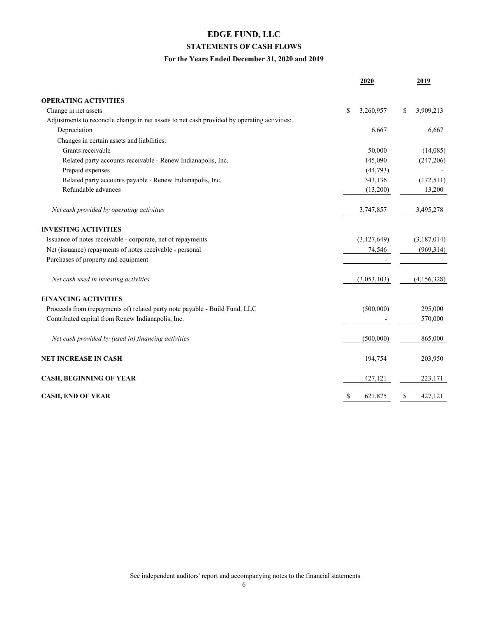# **EDGE FUND, LLC STATEMENTS OF CASH FLOWS**

### **For the Years Ended December 31, 2020 and 2019**

|                                                                                             | 2020            |    | 2019        |
|---------------------------------------------------------------------------------------------|-----------------|----|-------------|
| <b>OPERATING ACTIVITIES</b>                                                                 |                 |    |             |
| Change in net assets                                                                        | \$<br>3,260,957 | \$ | 3,909,213   |
| Adjustments to reconcile change in net assets to net cash provided by operating activities: |                 |    |             |
| Depreciation                                                                                | 6,667           |    | 6,667       |
| Changes in certain assets and liabilities:                                                  |                 |    |             |
| Grants receivable                                                                           | 50,000          |    | (14,085)    |
| Related party accounts receivable - Renew Indianapolis, Inc.                                | 145,090         |    | (247, 206)  |
| Prepaid expenses                                                                            | (44, 793)       |    |             |
| Related party accounts payable - Renew Indianapolis, Inc.                                   | 343,136         |    | (172, 511)  |
| Refundable advances                                                                         | (13,200)        |    | 13,200      |
| Net cash provided by operating activities                                                   | 3,747,857       |    | 3,495,278   |
| <b>INVESTING ACTIVITIES</b>                                                                 |                 |    |             |
| Issuance of notes receivable - corporate, net of repayments                                 | (3,127,649)     |    | (3,187,014) |
| Net (issuance) repayments of notes receivable - personal                                    | 74,546          |    | (969, 314)  |
| Purchases of property and equipment                                                         |                 |    |             |
| Net cash used in investing activities                                                       | (3,053,103)     |    | (4,156,328) |
| <b>FINANCING ACTIVITIES</b>                                                                 |                 |    |             |
| Proceeds from (repayments of) related party note payable - Build Fund, LLC                  | (500,000)       |    | 295,000     |
| Contributed capital from Renew Indianapolis, Inc.                                           |                 |    | 570,000     |
| Net cash provided by (used in) financing activities                                         | (500,000)       |    | 865,000     |
| <b>NET INCREASE IN CASH</b>                                                                 | 194,754         |    | 203,950     |
| <b>CASH, BEGINNING OF YEAR</b>                                                              | 427,121         |    | 223,171     |
| <b>CASH, END OF YEAR</b>                                                                    | \$<br>621,875   | S  | 427,121     |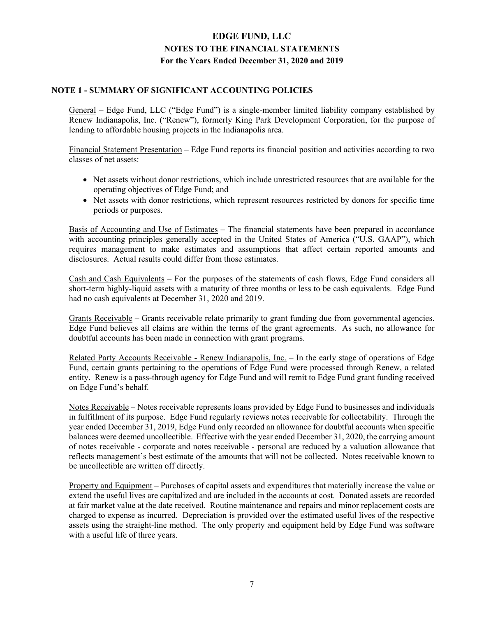### **NOTE 1 - SUMMARY OF SIGNIFICANT ACCOUNTING POLICIES**

General – Edge Fund, LLC ("Edge Fund") is a single-member limited liability company established by Renew Indianapolis, Inc. ("Renew"), formerly King Park Development Corporation, for the purpose of lending to affordable housing projects in the Indianapolis area.

Financial Statement Presentation – Edge Fund reports its financial position and activities according to two classes of net assets:

- Net assets without donor restrictions, which include unrestricted resources that are available for the operating objectives of Edge Fund; and
- Net assets with donor restrictions, which represent resources restricted by donors for specific time periods or purposes.

Basis of Accounting and Use of Estimates – The financial statements have been prepared in accordance with accounting principles generally accepted in the United States of America ("U.S. GAAP"), which requires management to make estimates and assumptions that affect certain reported amounts and disclosures. Actual results could differ from those estimates.

Cash and Cash Equivalents – For the purposes of the statements of cash flows, Edge Fund considers all short-term highly-liquid assets with a maturity of three months or less to be cash equivalents. Edge Fund had no cash equivalents at December 31, 2020 and 2019.

Grants Receivable – Grants receivable relate primarily to grant funding due from governmental agencies. Edge Fund believes all claims are within the terms of the grant agreements. As such, no allowance for doubtful accounts has been made in connection with grant programs.

Related Party Accounts Receivable - Renew Indianapolis, Inc. – In the early stage of operations of Edge Fund, certain grants pertaining to the operations of Edge Fund were processed through Renew, a related entity. Renew is a pass-through agency for Edge Fund and will remit to Edge Fund grant funding received on Edge Fund's behalf.

Notes Receivable – Notes receivable represents loans provided by Edge Fund to businesses and individuals in fulfillment of its purpose. Edge Fund regularly reviews notes receivable for collectability. Through the year ended December 31, 2019, Edge Fund only recorded an allowance for doubtful accounts when specific balances were deemed uncollectible. Effective with the year ended December 31, 2020, the carrying amount of notes receivable - corporate and notes receivable - personal are reduced by a valuation allowance that reflects management's best estimate of the amounts that will not be collected. Notes receivable known to be uncollectible are written off directly.

Property and Equipment – Purchases of capital assets and expenditures that materially increase the value or extend the useful lives are capitalized and are included in the accounts at cost. Donated assets are recorded at fair market value at the date received. Routine maintenance and repairs and minor replacement costs are charged to expense as incurred. Depreciation is provided over the estimated useful lives of the respective assets using the straight-line method. The only property and equipment held by Edge Fund was software with a useful life of three years.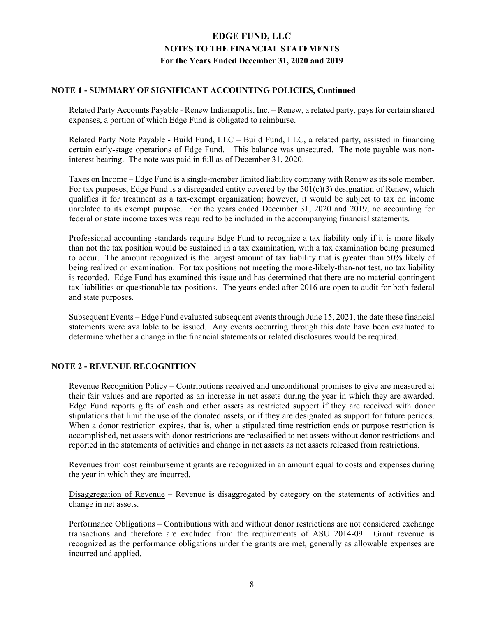### **NOTE 1 - SUMMARY OF SIGNIFICANT ACCOUNTING POLICIES, Continued**

Related Party Accounts Payable - Renew Indianapolis, Inc. – Renew, a related party, pays for certain shared expenses, a portion of which Edge Fund is obligated to reimburse.

Related Party Note Payable - Build Fund, LLC – Build Fund, LLC, a related party, assisted in financing certain early-stage operations of Edge Fund. This balance was unsecured. The note payable was noninterest bearing. The note was paid in full as of December 31, 2020.

Taxes on Income – Edge Fund is a single-member limited liability company with Renew as its sole member. For tax purposes, Edge Fund is a disregarded entity covered by the  $501(c)(3)$  designation of Renew, which qualifies it for treatment as a tax-exempt organization; however, it would be subject to tax on income unrelated to its exempt purpose. For the years ended December 31, 2020 and 2019, no accounting for federal or state income taxes was required to be included in the accompanying financial statements.

Professional accounting standards require Edge Fund to recognize a tax liability only if it is more likely than not the tax position would be sustained in a tax examination, with a tax examination being presumed to occur. The amount recognized is the largest amount of tax liability that is greater than 50% likely of being realized on examination. For tax positions not meeting the more-likely-than-not test, no tax liability is recorded. Edge Fund has examined this issue and has determined that there are no material contingent tax liabilities or questionable tax positions. The years ended after 2016 are open to audit for both federal and state purposes.

Subsequent Events – Edge Fund evaluated subsequent events through June 15, 2021, the date these financial statements were available to be issued. Any events occurring through this date have been evaluated to determine whether a change in the financial statements or related disclosures would be required.

## **NOTE 2 - REVENUE RECOGNITION**

Revenue Recognition Policy – Contributions received and unconditional promises to give are measured at their fair values and are reported as an increase in net assets during the year in which they are awarded. Edge Fund reports gifts of cash and other assets as restricted support if they are received with donor stipulations that limit the use of the donated assets, or if they are designated as support for future periods. When a donor restriction expires, that is, when a stipulated time restriction ends or purpose restriction is accomplished, net assets with donor restrictions are reclassified to net assets without donor restrictions and reported in the statements of activities and change in net assets as net assets released from restrictions.

Revenues from cost reimbursement grants are recognized in an amount equal to costs and expenses during the year in which they are incurred.

Disaggregation of Revenue **–** Revenue is disaggregated by category on the statements of activities and change in net assets.

Performance Obligations – Contributions with and without donor restrictions are not considered exchange transactions and therefore are excluded from the requirements of ASU 2014-09. Grant revenue is recognized as the performance obligations under the grants are met, generally as allowable expenses are incurred and applied.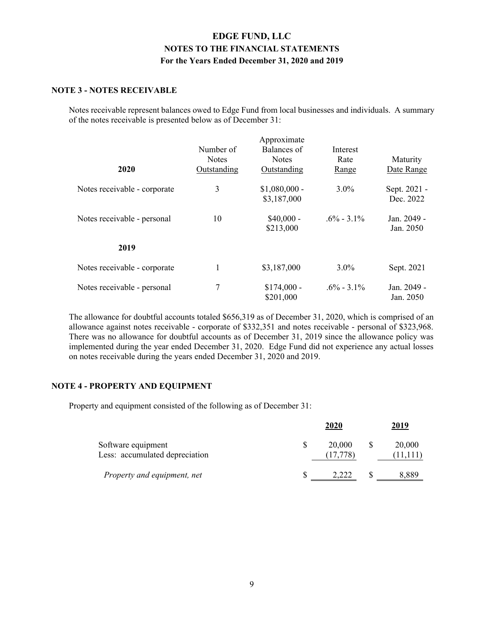### **NOTE 3 - NOTES RECEIVABLE**

Notes receivable represent balances owed to Edge Fund from local businesses and individuals. A summary of the notes receivable is presented below as of December 31:

|                              |              | Approximate    |                |              |
|------------------------------|--------------|----------------|----------------|--------------|
|                              | Number of    | Balances of    | Interest       |              |
|                              | <b>Notes</b> | <b>Notes</b>   | Rate           | Maturity     |
| 2020                         | Outstanding  | Outstanding    | Range          | Date Range   |
| Notes receivable - corporate | 3            | $$1,080,000$ - | $3.0\%$        | Sept. 2021 - |
|                              |              | \$3,187,000    |                | Dec. 2022    |
| Notes receivable - personal  | 10           | $$40,000 -$    | $.6\% - 3.1\%$ | Jan. 2049 -  |
|                              |              | \$213,000      |                | Jan. 2050    |
| 2019                         |              |                |                |              |
| Notes receivable - corporate |              | \$3,187,000    | $3.0\%$        | Sept. 2021   |
| Notes receivable - personal  | 7            | $$174,000 -$   | $.6\% - 3.1\%$ | Jan. 2049 -  |
|                              |              | \$201,000      |                | Jan. 2050    |

The allowance for doubtful accounts totaled \$656,319 as of December 31, 2020, which is comprised of an allowance against notes receivable - corporate of \$332,351 and notes receivable - personal of \$323,968. There was no allowance for doubtful accounts as of December 31, 2019 since the allowance policy was implemented during the year ended December 31, 2020. Edge Fund did not experience any actual losses on notes receivable during the years ended December 31, 2020 and 2019.

### **NOTE 4 - PROPERTY AND EQUIPMENT**

Property and equipment consisted of the following as of December 31:

|                                                      | 2020                | 2019   |
|------------------------------------------------------|---------------------|--------|
| Software equipment<br>Less: accumulated depreciation | 20,000<br>(17, 778) | 20,000 |
| Property and equipment, net                          | 2.222               | 8,889  |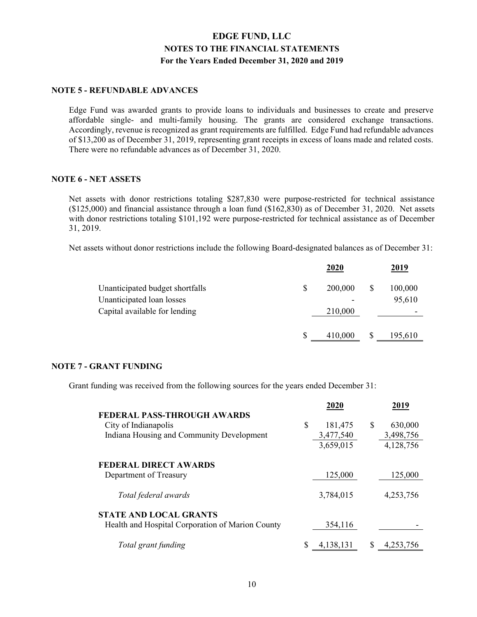### **NOTE 5 - REFUNDABLE ADVANCES**

Edge Fund was awarded grants to provide loans to individuals and businesses to create and preserve affordable single- and multi-family housing. The grants are considered exchange transactions. Accordingly, revenue is recognized as grant requirements are fulfilled. Edge Fund had refundable advances of \$13,200 as of December 31, 2019, representing grant receipts in excess of loans made and related costs. There were no refundable advances as of December 31, 2020.

#### **NOTE 6 - NET ASSETS**

Net assets with donor restrictions totaling \$287,830 were purpose-restricted for technical assistance (\$125,000) and financial assistance through a loan fund (\$162,830) as of December 31, 2020. Net assets with donor restrictions totaling \$101,192 were purpose-restricted for technical assistance as of December 31, 2019.

Net assets without donor restrictions include the following Board-designated balances as of December 31:

|                                 |    | 2020    |   | <u> 2019</u> |
|---------------------------------|----|---------|---|--------------|
| Unanticipated budget shortfalls | \$ | 200,000 | S | 100,000      |
| Unanticipated loan losses       |    |         |   | 95,610       |
| Capital available for lending   |    | 210,000 |   |              |
|                                 | S  | 410,000 | S | 195,610      |

### **NOTE 7 - GRANT FUNDING**

Grant funding was received from the following sources for the years ended December 31:

| 2020          |                      | 2019      |
|---------------|----------------------|-----------|
|               |                      |           |
| \$<br>181,475 | <b>S</b>             | 630,000   |
| 3,477,540     |                      | 3,498,756 |
| 3,659,015     |                      | 4,128,756 |
|               |                      |           |
|               |                      |           |
|               |                      | 125,000   |
|               |                      |           |
|               |                      | 4,253,756 |
|               |                      |           |
| 354,116       |                      |           |
|               |                      |           |
| 4,138,131     |                      |           |
|               | 125,000<br>3,784,015 |           |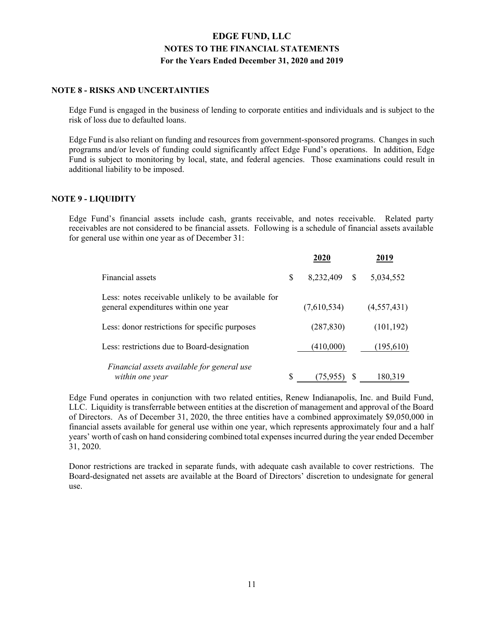### **NOTE 8 - RISKS AND UNCERTAINTIES**

Edge Fund is engaged in the business of lending to corporate entities and individuals and is subject to the risk of loss due to defaulted loans.

Edge Fund is also reliant on funding and resources from government-sponsored programs. Changes in such programs and/or levels of funding could significantly affect Edge Fund's operations. In addition, Edge Fund is subject to monitoring by local, state, and federal agencies. Those examinations could result in additional liability to be imposed.

### **NOTE 9 - LIQUIDITY**

Edge Fund's financial assets include cash, grants receivable, and notes receivable. Related party receivables are not considered to be financial assets. Following is a schedule of financial assets available for general use within one year as of December 31:

|                                                                                             | 2020            |   | 2019        |
|---------------------------------------------------------------------------------------------|-----------------|---|-------------|
| Financial assets                                                                            | \$<br>8,232,409 | S | 5,034,552   |
| Less: notes receivable unlikely to be available for<br>general expenditures within one year | (7,610,534)     |   | (4,557,431) |
| Less: donor restrictions for specific purposes                                              | (287, 830)      |   | (101, 192)  |
| Less: restrictions due to Board-designation                                                 | (410,000)       |   | (195,610)   |
| Financial assets available for general use<br>within one year                               | \$<br>(75, 955) |   | 180,319     |

Edge Fund operates in conjunction with two related entities, Renew Indianapolis, Inc. and Build Fund, LLC. Liquidity is transferrable between entities at the discretion of management and approval of the Board of Directors. As of December 31, 2020, the three entities have a combined approximately \$9,050,000 in financial assets available for general use within one year, which represents approximately four and a half years' worth of cash on hand considering combined total expenses incurred during the year ended December 31, 2020.

Donor restrictions are tracked in separate funds, with adequate cash available to cover restrictions. The Board-designated net assets are available at the Board of Directors' discretion to undesignate for general use.